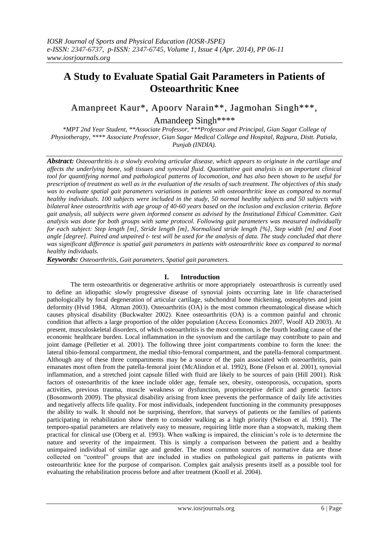# **A Study to Evaluate Spatial Gait Parameters in Patients of Osteoarthritic Knee**

Amanpreet Kaur\*, Apoorv Narain\*\*, Jagmohan Singh\*\*\*,

Amandeep Singh\*\*\*\*

*\*MPT 2nd Year Student, \*\*Associate Professor, \*\*\*Professor and Principal, Gian Sagar College of Physiotherapy, \*\*\*\* Associate Professor, Gian Sagar Medical College and Hospital, Rajpura, Distt. Patiala, Punjab (INDIA).*

*Abstract: Osteoarthritis is a slowly evolving articular disease, which appears to originate in the cartilage and affects the underlying bone, soft tissues and synovial fluid. Quantitative gait analysis is an important clinical tool for quantifying normal and pathological patterns of locomotion, and has also been shown to be useful for prescription of treatment as well as in the evaluation of the results of such treatment. The objectives of this study was to evaluate spatial gait parameters variations in patients with osteoarthritic knee as compared to normal healthy individuals. 100 subjects were included in the study, 50 normal healthy subjects and 50 subjects with bilateral knee osteoarthritis with age group of 40-60 years based on the inclusion and exclusion criteria. Before gait analysis, all subjects were given informed consent as advised by the Institutional Ethical Committee. Gait analysis was done for both groups with same protocol. Following gait parameters was measured individually for each subject: Step length [m], Stride length [m], Normalised stride length [%], Step width [m] and Foot angle [degree]. Paired and unpaired t- test will be used for the analysis of data. The study concluded that there was significant difference is spatial gait parameters in patients with osteoarthritic knee as compared to normal healthy individuals.*

*Keywords: Osteoarthritis, Gait parameters, Spatial gait parameters.*

# **I. Introduction**

The term osteoarthritis or degenerative arthritis or more appropriately osteoarthrosis is currently used to define an idiopathic slowly progressive disease of synovial joints occurring late in life characterised pathologically by focal degeneration of articular cartilage, subchondral bone thickening, osteophytes and joint deformity (Hvid 1984, Altman 2003). Osteoarthritis (OA) is the most common rheumatological disease which causes physical disability (Buckwalter 2002). Knee osteoarthritis (OA) is a common painful and chronic condition that affects a large proportion of the older population (Access Economics 2007, Woolf AD 2003). At present, musculoskeletal disorders, of which osteoarthritis is the most common, is the fourth leading cause of the economic healthcare burden. Local inflammation in the synovium and the cartilage may contribute to pain and joint damage (Pelletier et al. 2001). The following three joint compartments combine to form the knee: the lateral tibio-femoral compartment, the medial tibio-femoral compartment, and the patella-femoral compartment. Although any of these three compartments may be a source of the pain associated with osteoarthritis, pain emanates most often from the patella-femoral joint (McAlindon et al. 1992), Bone (Felson et al. 2001), synovial inflammation, and a stretched joint capsule filled with fluid are likely to be sources of pain (Hill 2001). Risk factors of osteoarthritis of the knee include older age, female sex, obesity, osteoporosis, occupation, sports activities, previous trauma, muscle weakness or dysfunction, proprioceptive deficit and genetic factors (Bosomworth 2009). The physical disability arising from knee prevents the performance of daily life activities and negatively affects life quality. For most individuals, independent functioning in the community presupposes the ability to walk. It should not be surprising, therefore, that surveys of patients or the families of patients participating in rehabilitation show them to consider walking as a high priority (Nelson et al. 1991). The temporo-spatial parameters are relatively easy to measure, requiring little more than a stopwatch, making them practical for clinical use (Oberg et al. 1993). When walking is impaired, the clinician"s role is to determine the nature and severity of the impairment. This is simply a comparison between the patient and a healthy unimpaired individual of similar age and gender. The most common sources of normative data are those collected on "control" groups that are included in studies on pathological gait patterns in patients with osteoarthritic knee for the purpose of comparison. Complex gait analysis presents itself as a possible tool for evaluating the rehabilitation process before and after treatment (Knoll et al. 2004).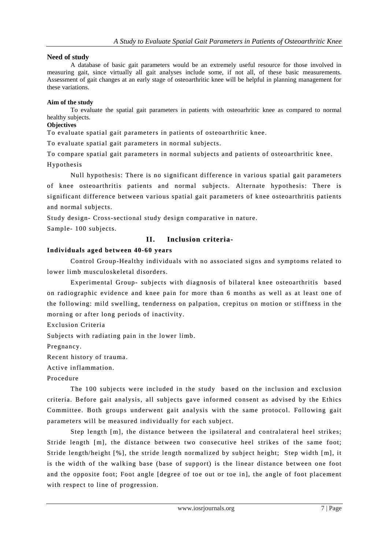## **Need of study**

A database of basic gait parameters would be an extremely useful resource for those involved in measuring gait, since virtually all gait analyses include some, if not all, of these basic measurements. Assessment of gait changes at an early stage of osteoarthritic knee will be helpful in planning management for these variations.

#### **Aim of the study**

To evaluate the spatial gait parameters in patients with osteoarhritic knee as compared to normal healthy subjects.

# **Objectives**

To evaluate spatial gait parameters in patients of osteoarthritic knee.

To evaluate spatial gait parameters in normal subjects.

To compare spatial gait parameters in normal subjects and patients of osteoarthritic knee. Hypothesis

Null hypothesis: There is no significant difference in various spatial gait parameters of knee osteoarthritis patients and normal subjects. Alternate hypothesis: There is significant difference between various spatial gait parameters of knee osteoarthritis patients and normal subjects.

Study design- Cross-sectional study design comparative in nature.

Sample- 100 subjects.

# **II. Inclusion criteria-**

# **Individuals aged between 40-60 years**

Control Group-Healthy individuals with no associated signs and symptoms related to lower limb musculoskeletal disorders.

Experimental Group- subjects with diagnosis of bilateral knee osteoarthritis based on radiographic evidence and knee pain for more than 6 months as well as at least one of the following: mild swelling, tenderness on palpation, crepitus on motion or stiffness in the morning or after long periods of inactivity.

Exclusion Criteria

Subjects with radiating pain in the lower limb.

Pregnancy.

Recent history of trauma.

Active inflammation.

Procedure

The 100 subjects were included in the study based on the inclusion and exclusion criteria. Before gait analysis, all subjects gave informed consent as advised by the Ethics Committee. Both groups underwent gait analysis with the same protocol. Following gait parameters will be measured individually for each subject.

Step length [m], the distance between the ipsilateral and contralateral heel strikes; Stride length [m], the distance between two consecutive heel strikes of the same foot; Stride length/height [%], the stride length normalized by subject height; Step width [m], it is the width of the walking base (base of support) is the linear distance between one foot and the opposite foot; Foot angle [degree of toe out or toe in], the angle of foot placement with respect to line of progression.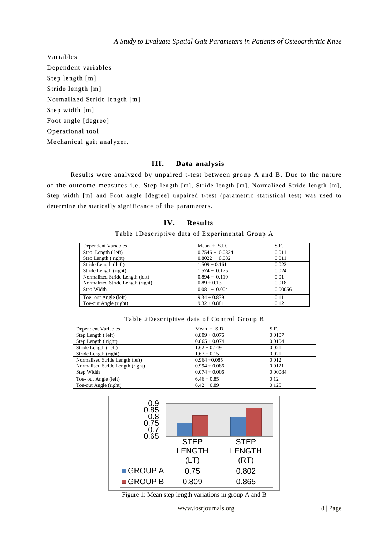Variables Dependent variables Step length [m] Stride length [m] Normalized Stride length [m] Step width [m] Foot angle [degree] Operational tool Mechanical gait analyzer.

# **III. Data analysis**

Results were analyzed by unpaired t-test between group A and B. Due to the nature of the outcome measures i.e. Step length [m], Stride length [m], Normalized Stride length [m], Step width [m] and Foot angle [degree] unpaired t-test (parametric statistical test) was used to determine the statically significance of the parameters.

## **IV. Results**

#### Table 1Descriptive data of Experimental Group A

| Dependent Variables              | Mean $+$ S.D.     | S.E.    |
|----------------------------------|-------------------|---------|
| Step Length (left)               | $0.7546 + 0.0834$ | 0.011   |
| Step Length (right)              | $0.8022 + 0.082$  | 0.011   |
| Stride Length (left)             | $1.509 + 0.161$   | 0.022   |
| Stride Length (right)            | $1.574 + 0.175$   | 0.024   |
| Normalized Stride Length (left)  | $0.894 + 0.119$   | 0.01    |
| Normalized Stride Length (right) | $0.89 + 0.13$     | 0.018   |
| Step Width                       | $0.081 + 0.004$   | 0.00056 |
| Toe- out Angle (left)            | $9.34 + 0.839$    | 0.11    |
| Toe-out Angle (right)            | $9.32 + 0.881$    | 0.12    |

### Table 2Descriptive data of Control Group B

| Dependent Variables              | Mean $+$ S.D.   | S.E.    |
|----------------------------------|-----------------|---------|
| Step Length (left)               | $0.809 + 0.076$ | 0.0107  |
| Step Length (right)              | $0.865 + 0.074$ | 0.0104  |
| Stride Length (left)             | $1.62 + 0.149$  | 0.021   |
| Stride Length (right)            | $1.67 + 0.15$   | 0.021   |
| Normalised Stride Length (left)  | $0.964 + 0.085$ | 0.012   |
| Normalised Stride Length (right) | $0.994 + 0.086$ | 0.0121  |
| Step Width                       | $0.074 + 0.006$ | 0.00084 |
| Toe- out Angle (left)            | $6.46 + 0.85$   | 0.12    |
| Toe-out Angle (right)            | $6.42 + 0.89$   | 0.125   |



Figure 1: Mean step length variations in group A and B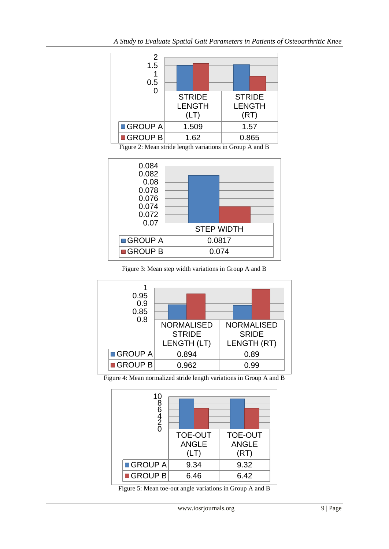





Figure 3: Mean step width variations in Group A and B



Figure 4: Mean normalized stride length variations in Group A and B



Figure 5: Mean toe-out angle variations in Group A and B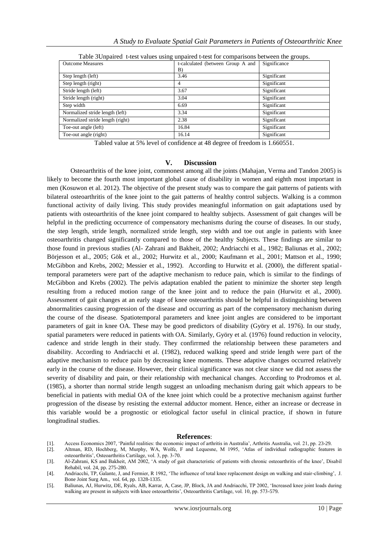| <b>Outcome Measures</b>          | t-calculated (between Group A and | Significance |
|----------------------------------|-----------------------------------|--------------|
|                                  | B)                                |              |
| Step length (left)               | 3.46                              | Significant  |
| Step length (right)              | 4                                 | Significant  |
| Stride length (left)             | 3.67                              | Significant  |
| Stride length (right)            | 3.04                              | Significant  |
| Step width                       | 6.69                              | Significant  |
| Normalized stride length (left)  | 3.34                              | Significant  |
| Normalized stride length (right) | 2.38                              | Significant  |
| Toe-out angle (left)             | 16.84                             | Significant  |
| Toe-out angle (right)            | 16.14                             | Significant  |

Table 3Unpaired t-test values using unpaired t-test for comparisons between the groups.

Tabled value at 5% level of confidence at 48 degree of freedom is 1.660551.

#### **V. Discussion**

Osteoarthritis of the knee joint, commonest among all the joints (Mahajan, Verma and Tandon 2005) is likely to become the fourth most important global cause of disability in women and eighth most important in men (Kosuwon et al. 2012). The objective of the present study was to compare the gait patterns of patients with bilateral osteoarthritis of the knee joint to the gait patterns of healthy control subjects. Walking is a common functional activity of daily living. This study provides meaningful information on gait adaptations used by patients with osteoarthritis of the knee joint compared to healthy subjects. Assessment of gait changes will be helpful in the predicting occurrence of compensatory mechanisms during the course of diseases. In our study, the step length, stride length, normalized stride length, step width and toe out angle in patients with knee osteoarthritis changed significantly compared to those of the healthy Subjects. These findings are similar to those found in previous studies (Al- Zahrani and Bakheit, 2002; Andriacchi et al., 1982; Baliunas et al., 2002; Börjesson et al., 2005; Gök et al., 2002; Hurwitz et al., 2000; Kaufmann et al., 2001; Mattson et al., 1990; McGibbon and Krebs, 2002; Messier et al., 1992). According to Hurwitz et al. (2000), the different spatialtemporal parameters were part of the adaptive mechanism to reduce pain, which is similar to the findings of McGibbon and Krebs (2002). The pelvis adaptation enabled the patient to minimize the shorter step length resulting from a reduced motion range of the knee joint and to reduce the pain (Hurwitz et al., 2000). Assessment of gait changes at an early stage of knee osteoarthritis should be helpful in distinguishing between abnormalities causing progression of the disease and occurring as part of the compensatory mechanism during the course of the disease. Spatiotemporal parameters and knee joint angles are considered to be important parameters of gait in knee OA. These may be good predictors of disability (Györy et al. 1976). In our study, spatial parameters were reduced in patients with OA. Similarly, Györy et al. (1976) found reduction in velocity, cadence and stride length in their study. They confirrmed the relationship between these parameters and disability. According to Andriacchi et al. (1982), reduced walking speed and stride length were part of the adaptive mechanism to reduce pain by decreasing knee moments. These adaptive changes occurred relatively early in the course of the disease. However, their clinical significance was not clear since we did not assess the severity of disability and pain, or their relationship with mechanical changes. According to Prodromos et al. (1985), a shorter than normal stride length suggest an unloading mechanism during gait which appears to be beneficial in patients with medial OA of the knee joint which could be a protective mechanism against further progression of the disease by resisting the external adductor moment. Hence, either an increase or decrease in this variable would be a prognostic or etiological factor useful in clinical practice, if shown in future longitudinal studies.

#### **References**:

- [1]. Access Economics 2007, "Painful realities: the economic impact of arthritis in Australia", Arthritis Australia, vol. 21, pp. 23-29.
- [2]. Altman, RD, Hochberg, M, Murphy, WA, Wolfe, F and Lequesne, M 1995, "Atlas of individual radiographic features in osteoarthritis", Osteoarthritis Cartilage, vol. 3, pp. 3-70.

<sup>[3].</sup> Al-Zahrani, KS and Bakheit, AM 2002, "A study of gait characteristic of patients with chronic osteoarthritis of the knee", Disabil Rehabil, vol. 24, pp. 275-280.

<sup>[4].</sup> Andriacchi, TP, Galante, J, and Fermier, R 1982, "The influence of total knee replacement design on walking and stair-climbing", J. Bone Joint Surg Am., vol. 64, pp. 1328-1335.

<sup>[5].</sup> Baliunas, AJ, Hurwitz, DE, Ryals, AB, Karrar, A, Case, JP, Block, JA and Andriacchi, TP 2002, "Increased knee joint loads during walking are present in subjects with knee osteoarthritis', Osteoarthritis Cartilage, vol. 10, pp. 573-579.